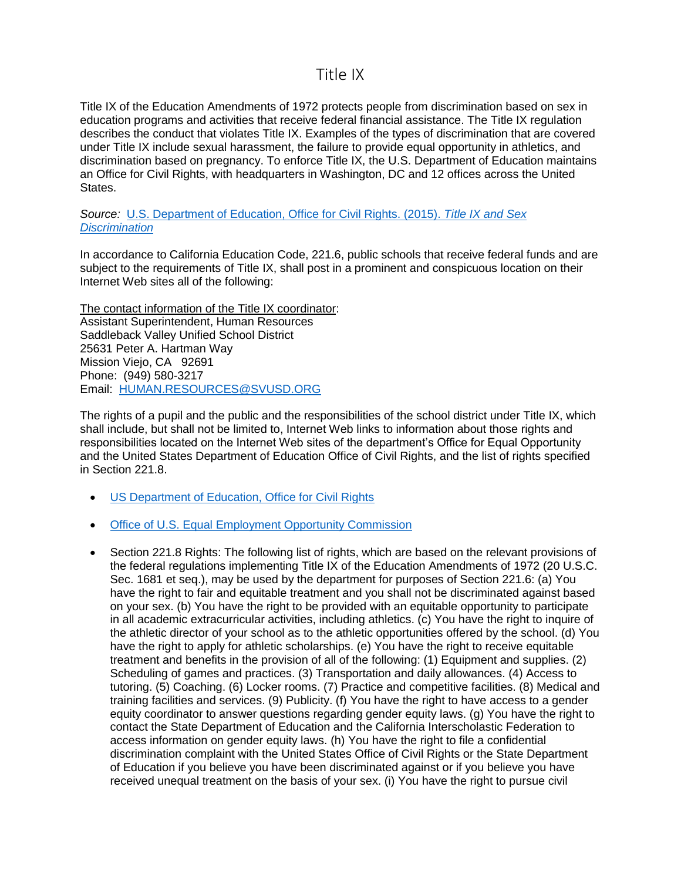## Title IX

Title IX of the Education Amendments of 1972 protects people from discrimination based on sex in education programs and activities that receive federal financial assistance. The Title IX regulation describes the conduct that violates Title IX. Examples of the types of discrimination that are covered under Title IX include sexual harassment, the failure to provide equal opportunity in athletics, and discrimination based on pregnancy. To enforce Title IX, the U.S. Department of Education maintains an Office for Civil Rights, with headquarters in Washington, DC and 12 offices across the United States.

*Source:* [U.S. Department of Education, Office for Civil Rights. \(2015\).](https://www2.ed.gov/about/offices/list/ocr/docs/tix_dis.html) *Title IX and Sex [Discrimination](https://www2.ed.gov/about/offices/list/ocr/docs/tix_dis.html)*

In accordance to California Education Code, 221.6, public schools that receive federal funds and are subject to the requirements of Title IX, shall post in a prominent and conspicuous location on their Internet Web sites all of the following:

The contact information of the Title IX coordinator: Assistant Superintendent, Human Resources Saddleback Valley Unified School District 25631 Peter A. Hartman Way Mission Viejo, CA 92691 Phone: (949) 580-3217 Email: [HUMAN.RESOURCES@SVUSD.ORG](mailto:HUMAN.RESOURCES@SVUSD.ORG)

The rights of a pupil and the public and the responsibilities of the school district under Title IX, which shall include, but shall not be limited to, Internet Web links to information about those rights and responsibilities located on the Internet Web sites of the department's Office for Equal Opportunity and the United States Department of Education Office of Civil Rights, and the list of rights specified in Section 221.8.

- [US Department of Education, Office for Civil Rights](https://www2.ed.gov/about/offices/list/ocr/index.html)
- [Office of U.S. Equal Employment Opportunity Commission](https://www.eeoc.gov/)
- Section 221.8 Rights: The following list of rights, which are based on the relevant provisions of the federal regulations implementing Title IX of the Education Amendments of 1972 (20 U.S.C. Sec. 1681 et seq.), may be used by the department for purposes of Section 221.6: (a) You have the right to fair and equitable treatment and you shall not be discriminated against based on your sex. (b) You have the right to be provided with an equitable opportunity to participate in all academic extracurricular activities, including athletics. (c) You have the right to inquire of the athletic director of your school as to the athletic opportunities offered by the school. (d) You have the right to apply for athletic scholarships. (e) You have the right to receive equitable treatment and benefits in the provision of all of the following: (1) Equipment and supplies. (2) Scheduling of games and practices. (3) Transportation and daily allowances. (4) Access to tutoring. (5) Coaching. (6) Locker rooms. (7) Practice and competitive facilities. (8) Medical and training facilities and services. (9) Publicity. (f) You have the right to have access to a gender equity coordinator to answer questions regarding gender equity laws. (g) You have the right to contact the State Department of Education and the California Interscholastic Federation to access information on gender equity laws. (h) You have the right to file a confidential discrimination complaint with the United States Office of Civil Rights or the State Department of Education if you believe you have been discriminated against or if you believe you have received unequal treatment on the basis of your sex. (i) You have the right to pursue civil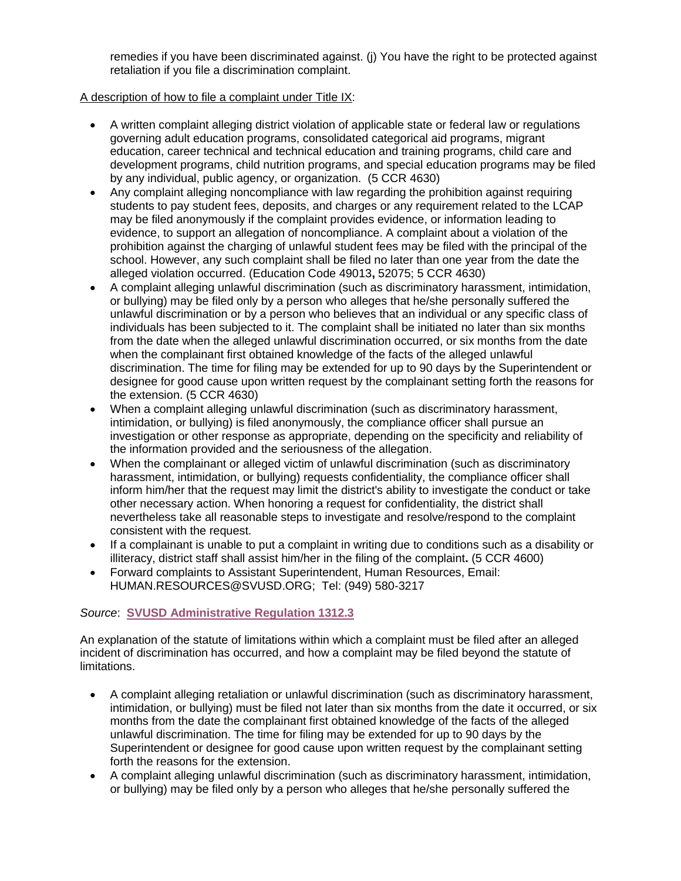remedies if you have been discriminated against. (j) You have the right to be protected against retaliation if you file a discrimination complaint.

## A description of how to file a complaint under Title IX:

- A written complaint alleging district violation of applicable state or federal law or regulations governing adult education programs, consolidated categorical aid programs, migrant education, career technical and technical education and training programs, child care and development programs, child nutrition programs, and special education programs may be filed by any individual, public agency, or organization. (5 CCR 4630)
- Any complaint alleging noncompliance with law regarding the prohibition against requiring students to pay student fees, deposits, and charges or any requirement related to the LCAP may be filed anonymously if the complaint provides evidence, or information leading to evidence, to support an allegation of noncompliance. A complaint about a violation of the prohibition against the charging of unlawful student fees may be filed with the principal of the school. However, any such complaint shall be filed no later than one year from the date the alleged violation occurred. (Education Code 49013**,** 52075; 5 CCR 4630)
- A complaint alleging unlawful discrimination (such as discriminatory harassment, intimidation, or bullying) may be filed only by a person who alleges that he/she personally suffered the unlawful discrimination or by a person who believes that an individual or any specific class of individuals has been subjected to it. The complaint shall be initiated no later than six months from the date when the alleged unlawful discrimination occurred, or six months from the date when the complainant first obtained knowledge of the facts of the alleged unlawful discrimination. The time for filing may be extended for up to 90 days by the Superintendent or designee for good cause upon written request by the complainant setting forth the reasons for the extension. (5 CCR 4630)
- When a complaint alleging unlawful discrimination (such as discriminatory harassment, intimidation, or bullying) is filed anonymously, the compliance officer shall pursue an investigation or other response as appropriate, depending on the specificity and reliability of the information provided and the seriousness of the allegation.
- When the complainant or alleged victim of unlawful discrimination (such as discriminatory harassment, intimidation, or bullying) requests confidentiality, the compliance officer shall inform him/her that the request may limit the district's ability to investigate the conduct or take other necessary action. When honoring a request for confidentiality, the district shall nevertheless take all reasonable steps to investigate and resolve/respond to the complaint consistent with the request.
- If a complainant is unable to put a complaint in writing due to conditions such as a disability or illiteracy, district staff shall assist him/her in the filing of the complaint**.** (5 CCR 4600)
- Forward complaints to Assistant Superintendent, Human Resources, Email: HUMAN.RESOURCES@SVUSD.ORG; Tel: (949) 580-3217

## *Source*: **SVUSD [Administrative Regulation 1312.3](http://docushare.svusd.org/dsweb/Get/Document-2151/AR+1312.3.pdfhttp:/docushare.svusd.org/dsweb/Get/Document-2151/AR+1312.3.pdf)**

An explanation of the statute of limitations within which a complaint must be filed after an alleged incident of discrimination has occurred, and how a complaint may be filed beyond the statute of limitations.

- A complaint alleging retaliation or unlawful discrimination (such as discriminatory harassment, intimidation, or bullying) must be filed not later than six months from the date it occurred, or six months from the date the complainant first obtained knowledge of the facts of the alleged unlawful discrimination. The time for filing may be extended for up to 90 days by the Superintendent or designee for good cause upon written request by the complainant setting forth the reasons for the extension.
- A complaint alleging unlawful discrimination (such as discriminatory harassment, intimidation, or bullying) may be filed only by a person who alleges that he/she personally suffered the